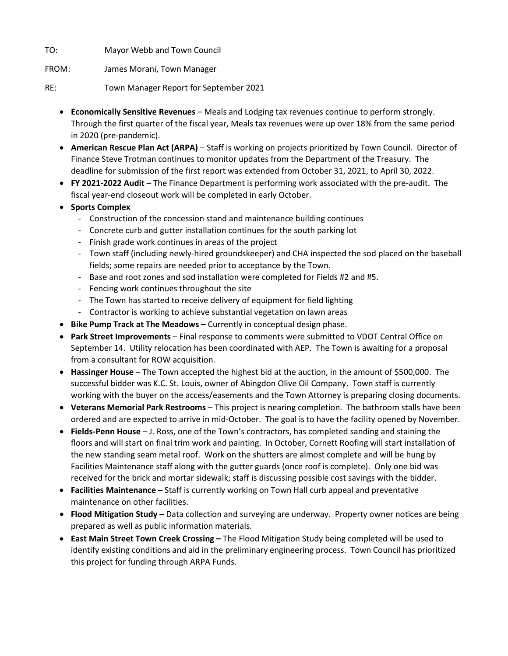TO: Mayor Webb and Town Council

FROM: James Morani, Town Manager

RE: Town Manager Report for September 2021

- **Economically Sensitive Revenues** Meals and Lodging tax revenues continue to perform strongly. Through the first quarter of the fiscal year, Meals tax revenues were up over 18% from the same period in 2020 (pre-pandemic).
- **American Rescue Plan Act (ARPA)** Staff is working on projects prioritized by Town Council. Director of Finance Steve Trotman continues to monitor updates from the Department of the Treasury. The deadline for submission of the first report was extended from October 31, 2021, to April 30, 2022.
- **FY 2021-2022 Audit** The Finance Department is performing work associated with the pre-audit. The fiscal year-end closeout work will be completed in early October.
- **Sports Complex**
	- Construction of the concession stand and maintenance building continues
	- Concrete curb and gutter installation continues for the south parking lot
	- Finish grade work continues in areas of the project
	- Town staff (including newly-hired groundskeeper) and CHA inspected the sod placed on the baseball fields; some repairs are needed prior to acceptance by the Town.
	- Base and root zones and sod installation were completed for Fields #2 and #5.
	- Fencing work continues throughout the site
	- The Town has started to receive delivery of equipment for field lighting
	- Contractor is working to achieve substantial vegetation on lawn areas
- **Bike Pump Track at The Meadows –** Currently in conceptual design phase.
- **Park Street Improvements** Final response to comments were submitted to VDOT Central Office on September 14. Utility relocation has been coordinated with AEP. The Town is awaiting for a proposal from a consultant for ROW acquisition.
- **Hassinger House** The Town accepted the highest bid at the auction, in the amount of \$500,000. The successful bidder was K.C. St. Louis, owner of Abingdon Olive Oil Company. Town staff is currently working with the buyer on the access/easements and the Town Attorney is preparing closing documents.
- **Veterans Memorial Park Restrooms** This project is nearing completion. The bathroom stalls have been ordered and are expected to arrive in mid-October. The goal is to have the facility opened by November.
- **Fields-Penn House** J. Ross, one of the Town's contractors, has completed sanding and staining the floors and will start on final trim work and painting. In October, Cornett Roofing will start installation of the new standing seam metal roof. Work on the shutters are almost complete and will be hung by Facilities Maintenance staff along with the gutter guards (once roof is complete). Only one bid was received for the brick and mortar sidewalk; staff is discussing possible cost savings with the bidder.
- **Facilities Maintenance –** Staff is currently working on Town Hall curb appeal and preventative maintenance on other facilities.
- **Flood Mitigation Study –** Data collection and surveying are underway. Property owner notices are being prepared as well as public information materials.
- **East Main Street Town Creek Crossing –** The Flood Mitigation Study being completed will be used to identify existing conditions and aid in the preliminary engineering process. Town Council has prioritized this project for funding through ARPA Funds.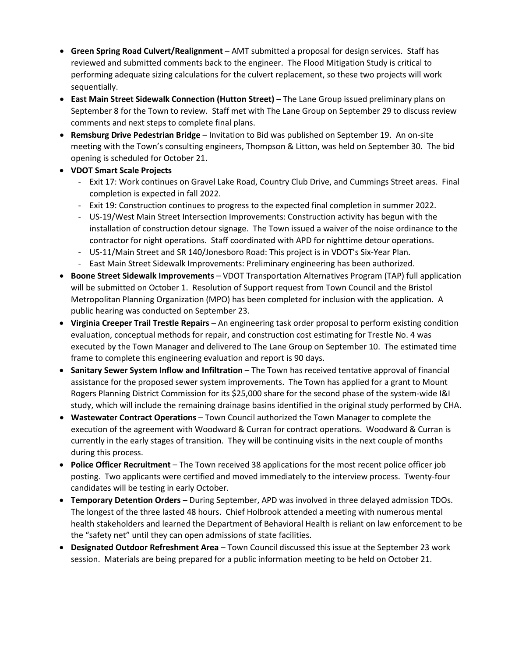- **Green Spring Road Culvert/Realignment** AMT submitted a proposal for design services. Staff has reviewed and submitted comments back to the engineer. The Flood Mitigation Study is critical to performing adequate sizing calculations for the culvert replacement, so these two projects will work sequentially.
- **East Main Street Sidewalk Connection (Hutton Street)** The Lane Group issued preliminary plans on September 8 for the Town to review. Staff met with The Lane Group on September 29 to discuss review comments and next steps to complete final plans.
- **Remsburg Drive Pedestrian Bridge**  Invitation to Bid was published on September 19. An on-site meeting with the Town's consulting engineers, Thompson & Litton, was held on September 30. The bid opening is scheduled for October 21.
- **VDOT Smart Scale Projects**
	- Exit 17: Work continues on Gravel Lake Road, Country Club Drive, and Cummings Street areas. Final completion is expected in fall 2022.
	- Exit 19: Construction continues to progress to the expected final completion in summer 2022.
	- US-19/West Main Street Intersection Improvements: Construction activity has begun with the installation of construction detour signage. The Town issued a waiver of the noise ordinance to the contractor for night operations. Staff coordinated with APD for nighttime detour operations.
	- US-11/Main Street and SR 140/Jonesboro Road: This project is in VDOT's Six-Year Plan.
	- East Main Street Sidewalk Improvements: Preliminary engineering has been authorized.
- **Boone Street Sidewalk Improvements** VDOT Transportation Alternatives Program (TAP) full application will be submitted on October 1. Resolution of Support request from Town Council and the Bristol Metropolitan Planning Organization (MPO) has been completed for inclusion with the application. A public hearing was conducted on September 23.
- **Virginia Creeper Trail Trestle Repairs** An engineering task order proposal to perform existing condition evaluation, conceptual methods for repair, and construction cost estimating for Trestle No. 4 was executed by the Town Manager and delivered to The Lane Group on September 10. The estimated time frame to complete this engineering evaluation and report is 90 days.
- **Sanitary Sewer System Inflow and Infiltration** The Town has received tentative approval of financial assistance for the proposed sewer system improvements. The Town has applied for a grant to Mount Rogers Planning District Commission for its \$25,000 share for the second phase of the system-wide I&I study, which will include the remaining drainage basins identified in the original study performed by CHA.
- **Wastewater Contract Operations** Town Council authorized the Town Manager to complete the execution of the agreement with Woodward & Curran for contract operations. Woodward & Curran is currently in the early stages of transition. They will be continuing visits in the next couple of months during this process.
- **Police Officer Recruitment** The Town received 38 applications for the most recent police officer job posting. Two applicants were certified and moved immediately to the interview process. Twenty-four candidates will be testing in early October.
- **Temporary Detention Orders**  During September, APD was involved in three delayed admission TDOs. The longest of the three lasted 48 hours. Chief Holbrook attended a meeting with numerous mental health stakeholders and learned the Department of Behavioral Health is reliant on law enforcement to be the "safety net" until they can open admissions of state facilities.
- **Designated Outdoor Refreshment Area**  Town Council discussed this issue at the September 23 work session. Materials are being prepared for a public information meeting to be held on October 21.